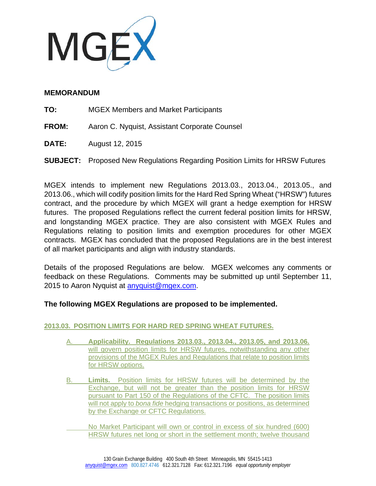

## **MEMORANDUM**

- **TO:** MGEX Members and Market Participants
- **FROM:** Aaron C. Nyquist, Assistant Corporate Counsel
- **DATE:** August 12, 2015
- **SUBJECT:** Proposed New Regulations Regarding Position Limits for HRSW Futures

MGEX intends to implement new Regulations 2013.03., 2013.04., 2013.05., and 2013.06., which will codify position limits for the Hard Red Spring Wheat ("HRSW") futures contract, and the procedure by which MGEX will grant a hedge exemption for HRSW futures. The proposed Regulations reflect the current federal position limits for HRSW, and longstanding MGEX practice. They are also consistent with MGEX Rules and Regulations relating to position limits and exemption procedures for other MGEX contracts. MGEX has concluded that the proposed Regulations are in the best interest of all market participants and align with industry standards.

Details of the proposed Regulations are below. MGEX welcomes any comments or feedback on these Regulations. Comments may be submitted up until September 11, 2015 to Aaron Nyquist at anyquist@mgex.com.

# **The following MGEX Regulations are proposed to be implemented.**

# **2013.03. POSITION LIMITS FOR HARD RED SPRING WHEAT FUTURES.**

- A. **Applicability. Regulations 2013.03., 2013.04., 2013.05, and 2013.06.** will govern position limits for HRSW futures, notwithstanding any other provisions of the MGEX Rules and Regulations that relate to position limits for HRSW options.
- B. **Limits.** Position limits for HRSW futures will be determined by the Exchange, but will not be greater than the position limits for HRSW pursuant to Part 150 of the Regulations of the CFTC. The position limits will not apply to *bona fide* hedging transactions or positions, as determined by the Exchange or CFTC Regulations.
	- No Market Participant will own or control in excess of six hundred (600) HRSW futures net long or short in the settlement month; twelve thousand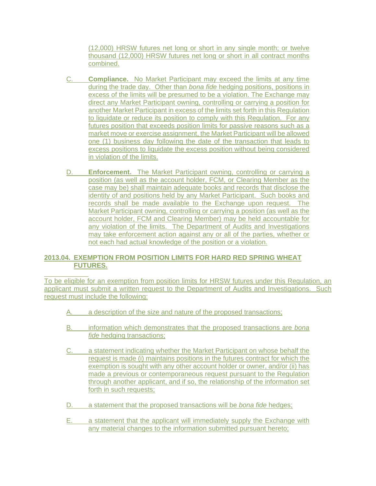(12,000) HRSW futures net long or short in any single month; or twelve thousand (12,000) HRSW futures net long or short in all contract months combined.

- C. **Compliance.** No Market Participant may exceed the limits at any time during the trade day. Other than *bona fide* hedging positions, positions in excess of the limits will be presumed to be a violation. The Exchange may direct any Market Participant owning, controlling or carrying a position for another Market Participant in excess of the limits set forth in this Regulation to liquidate or reduce its position to comply with this Regulation. For any futures position that exceeds position limits for passive reasons such as a market move or exercise assignment, the Market Participant will be allowed one (1) business day following the date of the transaction that leads to excess positions to liquidate the excess position without being considered in violation of the limits.
- D. **Enforcement.** The Market Participant owning, controlling or carrying a position (as well as the account holder, FCM, or Clearing Member as the case may be) shall maintain adequate books and records that disclose the identity of and positions held by any Market Participant. Such books and records shall be made available to the Exchange upon request. The Market Participant owning, controlling or carrying a position (as well as the account holder, FCM and Clearing Member) may be held accountable for any violation of the limits. The Department of Audits and Investigations may take enforcement action against any or all of the parties, whether or not each had actual knowledge of the position or a violation.

## **2013.04. EXEMPTION FROM POSITION LIMITS FOR HARD RED SPRING WHEAT FUTURES.**

l To be eligible for an exemption from position limits for HRSW futures under this Regulation, an applicant must submit a written request to the Department of Audits and Investigations. Such request must include the following:

- a description of the size and nature of the proposed transactions;
- B. information which demonstrates that the proposed transactions are *bona fide* hedging transactions;
- C. a statement indicating whether the Market Participant on whose behalf the request is made (i) maintains positions in the futures contract for which the exemption is sought with any other account holder or owner, and/or (ii) has made a previous or contemporaneous request pursuant to the Regulation through another applicant, and if so, the relationship of the information set forth in such requests;
- D. a statement that the proposed transactions will be *bona fide* hedges;
- E. a statement that the applicant will immediately supply the Exchange with any material changes to the information submitted pursuant hereto;